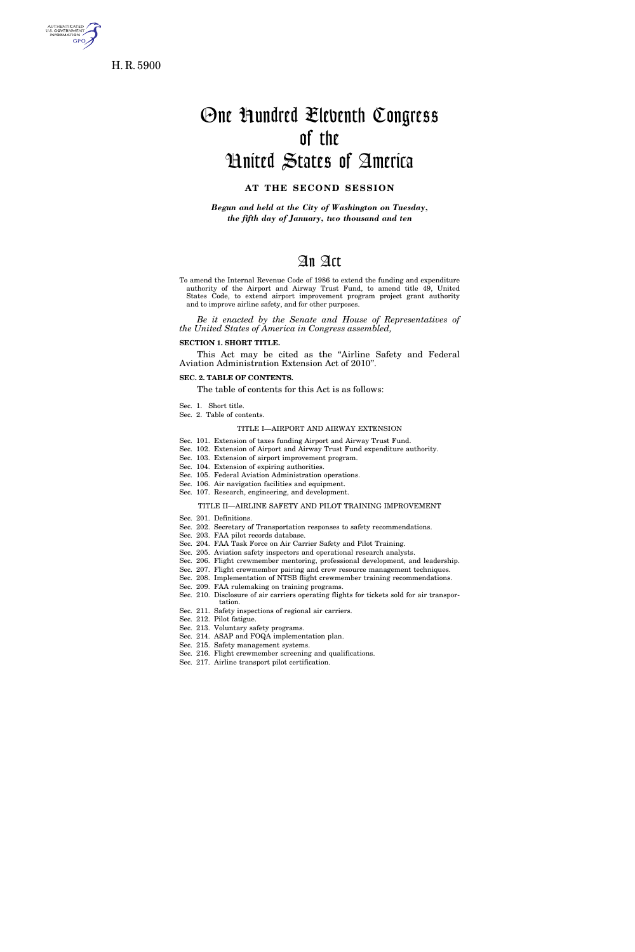

H. R. 5900

# One Hundred Eleventh Congress of the United States of America

### **AT THE SECOND SESSION**

*Begun and held at the City of Washington on Tuesday, the fifth day of January, two thousand and ten* 

# An Act

To amend the Internal Revenue Code of 1986 to extend the funding and expenditure authority of the Airport and Airway Trust Fund, to amend title 49, United States Code, to extend airport improvement program project grant authority and to improve airline safety, and for other purposes.

*Be it enacted by the Senate and House of Representatives of the United States of America in Congress assembled,* 

#### **SECTION 1. SHORT TITLE.**

This Act may be cited as the "Airline Safety and Federal Aviation Administration Extension Act of 2010''.

#### **SEC. 2. TABLE OF CONTENTS.**

The table of contents for this Act is as follows:

- Sec. 1. Short title.
- Sec. 2. Table of contents.

#### TITLE I—AIRPORT AND AIRWAY EXTENSION

- Sec. 101. Extension of taxes funding Airport and Airway Trust Fund.
- Sec. 102. Extension of Airport and Airway Trust Fund expenditure authority.
- Sec. 103. Extension of airport improvement program.
- Sec. 104. Extension of expiring authorities.
- Sec. 105. Federal Aviation Administration operations.
- Sec. 106. Air navigation facilities and equipment. Sec. 107. Research, engineering, and development.

#### TITLE II—AIRLINE SAFETY AND PILOT TRAINING IMPROVEMENT

- Sec. 201. Definitions.
- Sec. 202. Secretary of Transportation responses to safety recommendations.
- Sec. 203. FAA pilot records database.
- Sec. 204. FAA Task Force on Air Carrier Safety and Pilot Training.
- Sec. 205. Aviation safety inspectors and operational research analysts.
- Sec. 206. Flight crewmember mentoring, professional development, and leadership.
- Sec. 207. Flight crewmember pairing and crew resource management techniques. Sec. 208. Implementation of NTSB flight crewmember training recommendations.
- Sec. 209. FAA rulemaking on training programs.
- Sec. 210. Disclosure of air carriers operating flights for tickets sold for air transpor-
- tation.
- Sec. 211. Safety inspections of regional air carriers.
- Sec. 212. Pilot fatigue. Sec. 213. Voluntary safety programs.
- Sec. 214. ASAP and FOQA implementation plan.
- Sec. 215. Safety management systems.
- Sec. 216. Flight crewmember screening and qualifications.
- Sec. 217. Airline transport pilot certification.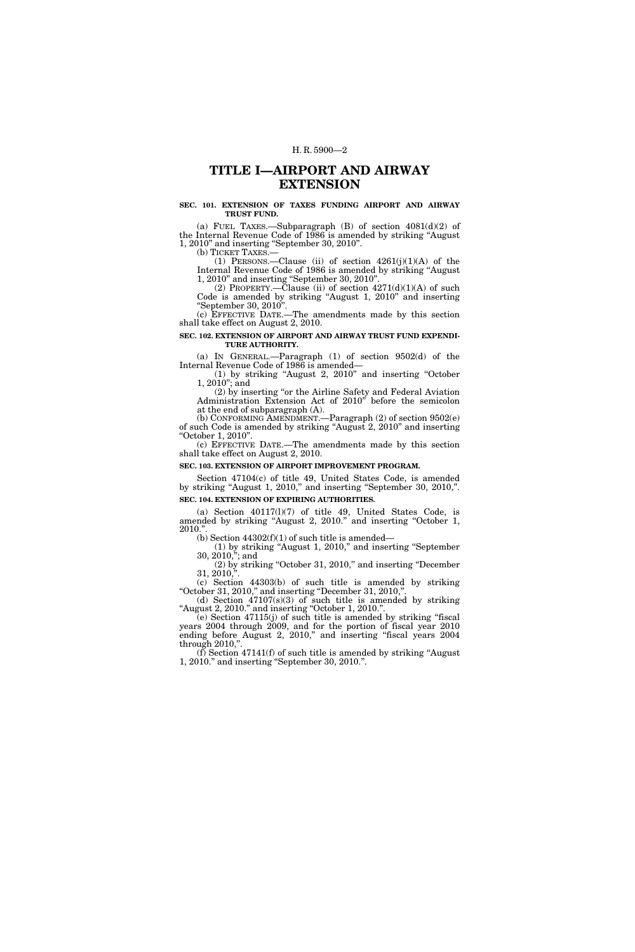# **TITLE I—AIRPORT AND AIRWAY EXTENSION**

#### **SEC. 101. EXTENSION OF TAXES FUNDING AIRPORT AND AIRWAY TRUST FUND.**

(a) FUEL TAXES.—Subparagraph  $(B)$  of section  $4081(d)(2)$  of the Internal Revenue Code of 1986 is amended by striking ''August 1, 2010'' and inserting ''September 30, 2010''.

(b) TICKET TAXES.—

(1) PERSONS.—Clause (ii) of section  $4261(j)(1)(A)$  of the Internal Revenue Code of 1986 is amended by striking ''August 1, 2010'' and inserting ''September 30, 2010''.

(2) PROPERTY.—Clause (ii) of section  $4271(d)(1)(A)$  of such Code is amended by striking ''August 1, 2010'' and inserting ''September 30, 2010''.

(c) EFFECTIVE DATE.—The amendments made by this section shall take effect on August 2, 2010.

#### **SEC. 102. EXTENSION OF AIRPORT AND AIRWAY TRUST FUND EXPENDI-TURE AUTHORITY.**

(a) IN GENERAL.—Paragraph (1) of section 9502(d) of the Internal Revenue Code of 1986 is amended—

(1) by striking ''August 2, 2010'' and inserting ''October 1, 2010''; and

(2) by inserting ''or the Airline Safety and Federal Aviation Administration Extension Act of 2010'' before the semicolon at the end of subparagraph (A).

(b) CONFORMING AMENDMENT.—Paragraph (2) of section 9502(e) of such Code is amended by striking ''August 2, 2010'' and inserting ''October 1, 2010''.

(c) EFFECTIVE DATE.—The amendments made by this section shall take effect on August 2, 2010.

#### **SEC. 103. EXTENSION OF AIRPORT IMPROVEMENT PROGRAM.**

Section 47104(c) of title 49, United States Code, is amended by striking "August 1, 2010," and inserting "September 30, 2010,". **SEC. 104. EXTENSION OF EXPIRING AUTHORITIES.** 

(a) Section 40117(l)(7) of title 49, United States Code, is amended by striking ''August 2, 2010.'' and inserting ''October 1, 2010.''.

(b) Section  $44302(f)(1)$  of such title is amended—

(1) by striking ''August 1, 2010,'' and inserting ''September 30, 2010,''; and

(2) by striking ''October 31, 2010,'' and inserting ''December  $31, 2010,$ ".

(c) Section 44303(b) of such title is amended by striking ''October 31, 2010,'' and inserting ''December 31, 2010,''.

(d) Section 47107(s)(3) of such title is amended by striking ''August 2, 2010.'' and inserting ''October 1, 2010.''.

(e) Section 47115(j) of such title is amended by striking ''fiscal years 2004 through 2009, and for the portion of fiscal year 2010 ending before August 2, 2010," and inserting "fiscal years 2004 through  $2010$ ,"

 $(f)$  Section 47141(f) of such title is amended by striking "August" 1, 2010.'' and inserting ''September 30, 2010.''.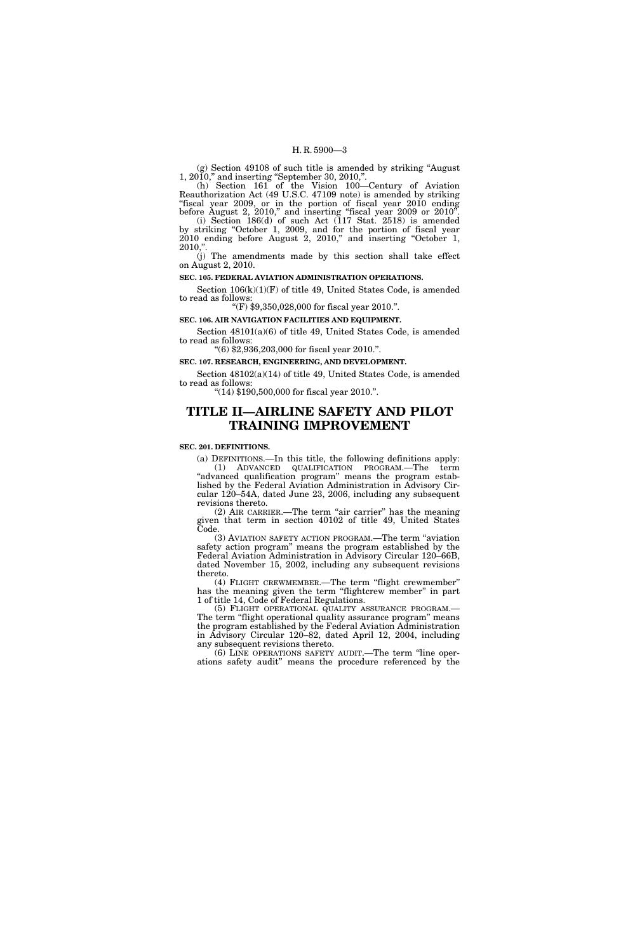(g) Section 49108 of such title is amended by striking ''August 1, 2010,'' and inserting ''September 30, 2010,''.

(h) Section 161 of the Vision 100—Century of Aviation Reauthorization Act (49 U.S.C. 47109 note) is amended by striking "fiscal year 2009, or in the portion of fiscal year 2010 ending before August 2, 2010," and inserting "fiscal year 2009 or 2010".

(i) Section 186(d) of such Act (117 Stat. 2518) is amended by striking ''October 1, 2009, and for the portion of fiscal year 2010 ending before August 2, 2010," and inserting "October 1,  $2010,"$ 

(j) The amendments made by this section shall take effect on August 2, 2010.

#### **SEC. 105. FEDERAL AVIATION ADMINISTRATION OPERATIONS.**

Section 106(k)(1)(F) of title 49, United States Code, is amended to read as follows: ''(F) \$9,350,028,000 for fiscal year 2010.''.

# **SEC. 106. AIR NAVIGATION FACILITIES AND EQUIPMENT.**

Section 48101(a)(6) of title 49, United States Code, is amended to read as follows:

''(6) \$2,936,203,000 for fiscal year 2010.''.

#### **SEC. 107. RESEARCH, ENGINEERING, AND DEVELOPMENT.**

Section 48102(a)(14) of title 49, United States Code, is amended to read as follows: ''(14) \$190,500,000 for fiscal year 2010.''.

# **TITLE II—AIRLINE SAFETY AND PILOT TRAINING IMPROVEMENT**

#### **SEC. 201. DEFINITIONS.**

(a) DEFINITIONS.—In this title, the following definitions apply: (1) ADVANCED QUALIFICATION PROGRAM.—The term "advanced qualification program" means the program established by the Federal Aviation Administration in Advisory Circular 120–54A, dated June 23, 2006, including any subsequent revisions thereto.

(2) AIR CARRIER.—The term ''air carrier'' has the meaning given that term in section 40102 of title 49, United States Code.

(3) AVIATION SAFETY ACTION PROGRAM.—The term ''aviation safety action program'' means the program established by the Federal Aviation Administration in Advisory Circular 120–66B, dated November 15, 2002, including any subsequent revisions thereto.

(4) FLIGHT CREWMEMBER.—The term ''flight crewmember'' has the meaning given the term "flightcrew member" in part 1 of title 14, Code of Federal Regulations.<br>
(5) FLIGHT OPERATIONAL QUALITY ASSURANCE PROGRAM.—

The term "flight operational quality assurance program" means the program established by the Federal Aviation Administration in Advisory Circular 120–82, dated April 12, 2004, including any subsequent revisions thereto.

(6) LINE OPERATIONS SAFETY AUDIT.—The term ''line operations safety audit'' means the procedure referenced by the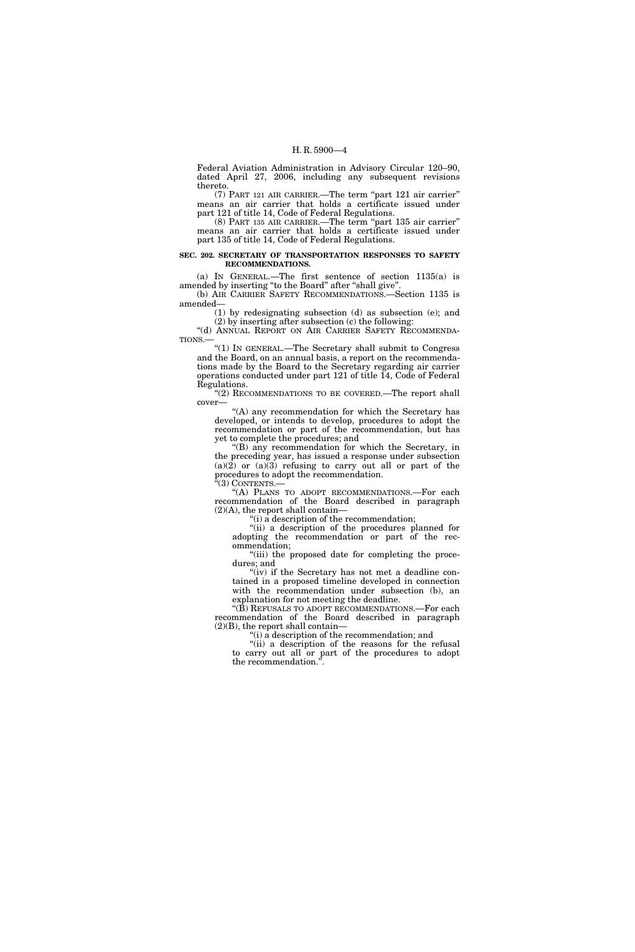Federal Aviation Administration in Advisory Circular 120–90, dated April 27, 2006, including any subsequent revisions thereto.

(7) PART 121 AIR CARRIER.—The term ''part 121 air carrier'' means an air carrier that holds a certificate issued under part 121 of title 14, Code of Federal Regulations.

(8) PART 135 AIR CARRIER.—The term ''part 135 air carrier'' means an air carrier that holds a certificate issued under part 135 of title 14, Code of Federal Regulations.

#### **SEC. 202. SECRETARY OF TRANSPORTATION RESPONSES TO SAFETY RECOMMENDATIONS.**

(a) IN GENERAL.—The first sentence of section 1135(a) is amended by inserting ''to the Board'' after ''shall give''.

(b) AIR CARRIER SAFETY RECOMMENDATIONS.—Section 1135 is amended—

(1) by redesignating subsection (d) as subsection (e); and (2) by inserting after subsection (c) the following:

"(d) ANNUAL REPORT ON AIR CARRIER SAFETY RECOMMENDA-TIONS.—

''(1) IN GENERAL.—The Secretary shall submit to Congress and the Board, on an annual basis, a report on the recommendations made by the Board to the Secretary regarding air carrier operations conducted under part 121 of title 14, Code of Federal Regulations.

"(2) RECOMMENDATIONS TO BE COVERED.—The report shall cover—

"(A) any recommendation for which the Secretary has developed, or intends to develop, procedures to adopt the recommendation or part of the recommendation, but has yet to complete the procedures; and

 $f(B)$  any recommendation for which the Secretary, in the preceding year, has issued a response under subsection (a)(2) or (a)(3) refusing to carry out all or part of the procedures to adopt the recommendation.

"(3) CONTENTS.-

"(A) PLANS TO ADOPT RECOMMENDATIONS.—For each recommendation of the Board described in paragraph  $(2)(A)$ , the report shall contain—

''(i) a description of the recommendation;

"(ii) a description of the procedures planned for adopting the recommendation or part of the recommendation;

"(iii) the proposed date for completing the procedures; and

"(iv) if the Secretary has not met a deadline contained in a proposed timeline developed in connection with the recommendation under subsection (b), an explanation for not meeting the deadline.

''(B) REFUSALS TO ADOPT RECOMMENDATIONS.—For each recommendation of the Board described in paragraph  $(2)(B)$ , the report shall contain—

''(i) a description of the recommendation; and

"(ii) a description of the reasons for the refusal to carry out all or part of the procedures to adopt the recommendation.''.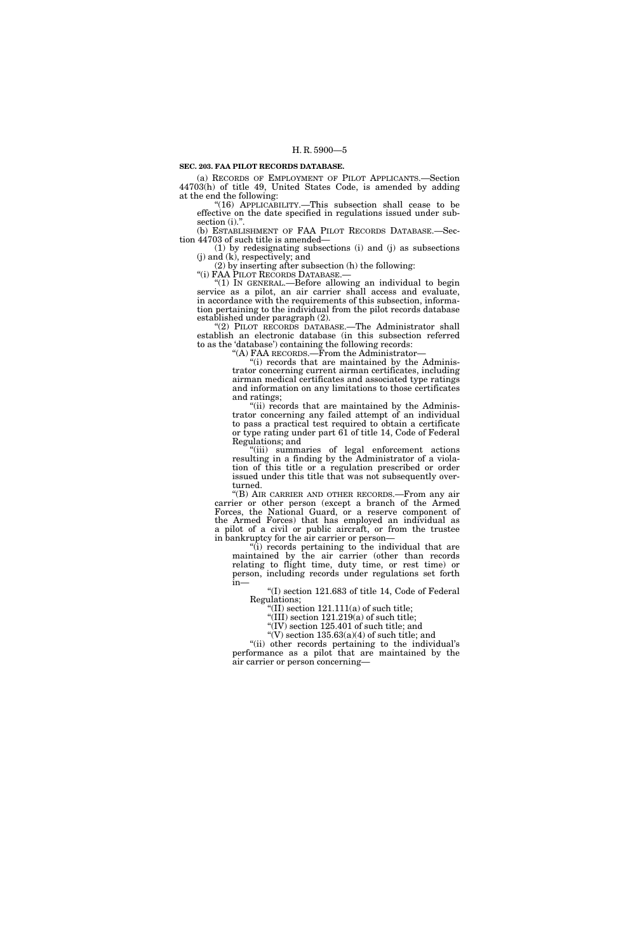#### **SEC. 203. FAA PILOT RECORDS DATABASE.**

(a) RECORDS OF EMPLOYMENT OF PILOT APPLICANTS.—Section 44703(h) of title 49, United States Code, is amended by adding at the end the following:

''(16) APPLICABILITY.—This subsection shall cease to be effective on the date specified in regulations issued under subsection (i).".

(b) ESTABLISHMENT OF FAA PILOT RECORDS DATABASE.—Section 44703 of such title is amended—

(1) by redesignating subsections (i) and (j) as subsections (j) and (k), respectively; and

(2) by inserting after subsection (h) the following:<br>"(i) FAA PILOT RECORDS DATABASE.—

" $(1)$  In GENERAL.—Before allowing an individual to begin service as a pilot, an air carrier shall access and evaluate, in accordance with the requirements of this subsection, information pertaining to the individual from the pilot records database established under paragraph (2).

''(2) PILOT RECORDS DATABASE.—The Administrator shall establish an electronic database (in this subsection referred to as the 'database') containing the following records:

''(A) FAA RECORDS.—From the Administrator—

"(i) records that are maintained by the Administrator concerning current airman certificates, including airman medical certificates and associated type ratings and information on any limitations to those certificates and ratings;

"(ii) records that are maintained by the Administrator concerning any failed attempt of an individual to pass a practical test required to obtain a certificate or type rating under part 61 of title 14, Code of Federal Regulations; and

''(iii) summaries of legal enforcement actions resulting in a finding by the Administrator of a violation of this title or a regulation prescribed or order issued under this title that was not subsequently overturned.

''(B) AIR CARRIER AND OTHER RECORDS.—From any air carrier or other person (except a branch of the Armed Forces, the National Guard, or a reserve component of the Armed Forces) that has employed an individual as a pilot of a civil or public aircraft, or from the trustee in bankruptcy for the air carrier or person—

"(i) records pertaining to the individual that are maintained by the air carrier (other than records relating to flight time, duty time, or rest time) or person, including records under regulations set forth in—

 $(1)$  section 121.683 of title 14, Code of Federal Regulations;

"(II) section  $121.111(a)$  of such title;

 $\sqrt[4]{III}$ ) section 121.219(a) of such title;

"(IV) section  $125.401$  of such title; and

"(V) section  $135.63(a)(4)$  of such title; and

"(ii) other records pertaining to the individual's performance as a pilot that are maintained by the air carrier or person concerning—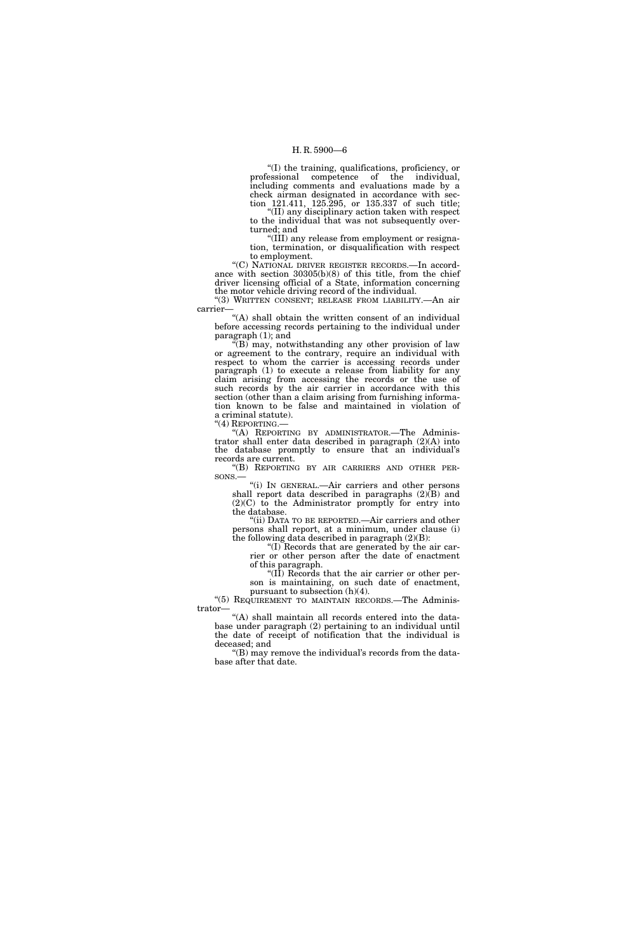''(I) the training, qualifications, proficiency, or professional competence of the individual, including comments and evaluations made by a check airman designated in accordance with section 121.411, 125.295, or 135.337 of such title;

''(II) any disciplinary action taken with respect to the individual that was not subsequently overturned; and

''(III) any release from employment or resignation, termination, or disqualification with respect to employment.

''(C) NATIONAL DRIVER REGISTER RECORDS.—In accordance with section 30305(b)(8) of this title, from the chief driver licensing official of a State, information concerning the motor vehicle driving record of the individual.

''(3) WRITTEN CONSENT; RELEASE FROM LIABILITY.—An air carrier

"(A) shall obtain the written consent of an individual before accessing records pertaining to the individual under paragraph (1); and

 $\sqrt{f(B)}$  may, notwithstanding any other provision of law or agreement to the contrary, require an individual with respect to whom the carrier is accessing records under paragraph (1) to execute a release from liability for any claim arising from accessing the records or the use of such records by the air carrier in accordance with this section (other than a claim arising from furnishing information known to be false and maintained in violation of a criminal statute).<br>"(4) REPORTING.—

"(A) REPORTING BY ADMINISTRATOR.-The Administrator shall enter data described in paragraph (2)(A) into the database promptly to ensure that an individual's

records are current.<br>"(B) REPORTING BY AIR CARRIERS AND OTHER PER-SONS.— "(i) IN GENERAL.—Air carriers and other persons.

shall report data described in paragraphs  $(2)(\overline{B})$  and (2)(C) to the Administrator promptly for entry into the database.

"(ii) DATA TO BE REPORTED.—Air carriers and other persons shall report, at a minimum, under clause (i) the following data described in paragraph  $(2)(B)$ :

''(I) Records that are generated by the air carrier or other person after the date of enactment of this paragraph.

" $(\overline{II})$  Records that the air carrier or other person is maintaining, on such date of enactment,

pursuant to subsection (h)(4). "(5) REQUIREMENT TO MAINTAIN RECORDS.-The Administrator—

''(A) shall maintain all records entered into the database under paragraph (2) pertaining to an individual until the date of receipt of notification that the individual is deceased; and

"(B) may remove the individual's records from the database after that date.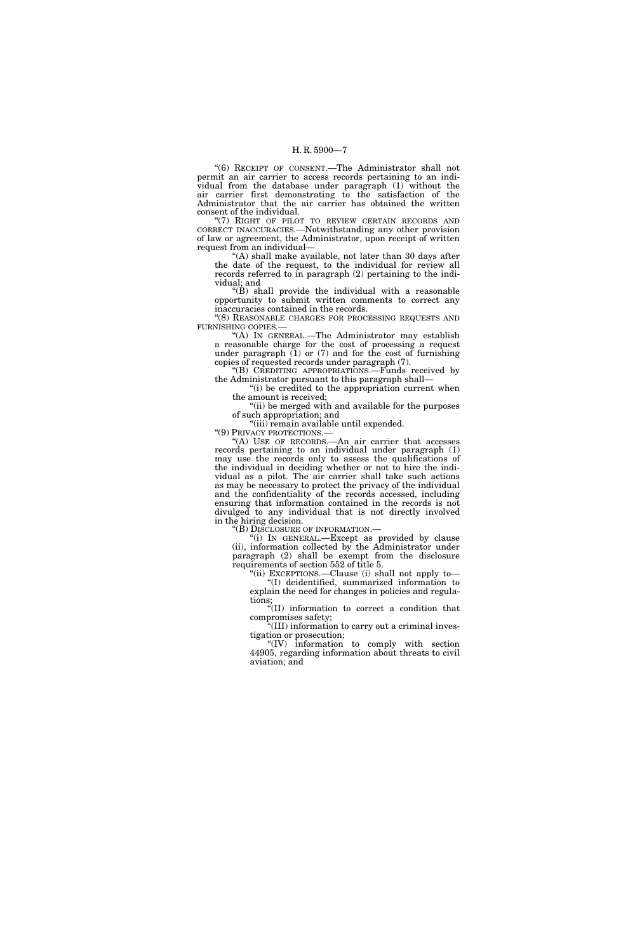''(6) RECEIPT OF CONSENT.—The Administrator shall not permit an air carrier to access records pertaining to an individual from the database under paragraph (1) without the air carrier first demonstrating to the satisfaction of the Administrator that the air carrier has obtained the written consent of the individual.

"(7) RIGHT OF PILOT TO REVIEW CERTAIN RECORDS AND CORRECT INACCURACIES.—Notwithstanding any other provision of law or agreement, the Administrator, upon receipt of written request from an individual—

"(A) shall make available, not later than 30 days after the date of the request, to the individual for review all records referred to in paragraph (2) pertaining to the individual; and

''(B) shall provide the individual with a reasonable opportunity to submit written comments to correct any inaccuracies contained in the records.

''(8) REASONABLE CHARGES FOR PROCESSING REQUESTS AND FURNISHING COPIES.—

''(A) IN GENERAL.—The Administrator may establish a reasonable charge for the cost of processing a request under paragraph (1) or (7) and for the cost of furnishing copies of requested records under paragraph (7).

''(B) CREDITING APPROPRIATIONS.—Funds received by the Administrator pursuant to this paragraph shall—

"(i) be credited to the appropriation current when the amount is received;

"(ii) be merged with and available for the purposes of such appropriation; and

"(iii) remain available until expended.<br>"(9) PRIVACY PROTECTIONS.—

"(A) USE OF RECORDS.—An air carrier that accesses records pertaining to an individual under paragraph (1) may use the records only to assess the qualifications of the individual in deciding whether or not to hire the individual as a pilot. The air carrier shall take such actions as may be necessary to protect the privacy of the individual and the confidentiality of the records accessed, including ensuring that information contained in the records is not divulged to any individual that is not directly involved in the hiring decision.

''(B) DISCLOSURE OF INFORMATION.—

"(i) In GENERAL.—Except as provided by clause (ii), information collected by the Administrator under paragraph (2) shall be exempt from the disclosure requirements of section 552 of title 5.

''(ii) EXCEPTIONS.—Clause (i) shall not apply to— ''(I) deidentified, summarized information to explain the need for changes in policies and regulations;

''(II) information to correct a condition that compromises safety;

''(III) information to carry out a criminal investigation or prosecution;

''(IV) information to comply with section 44905, regarding information about threats to civil aviation; and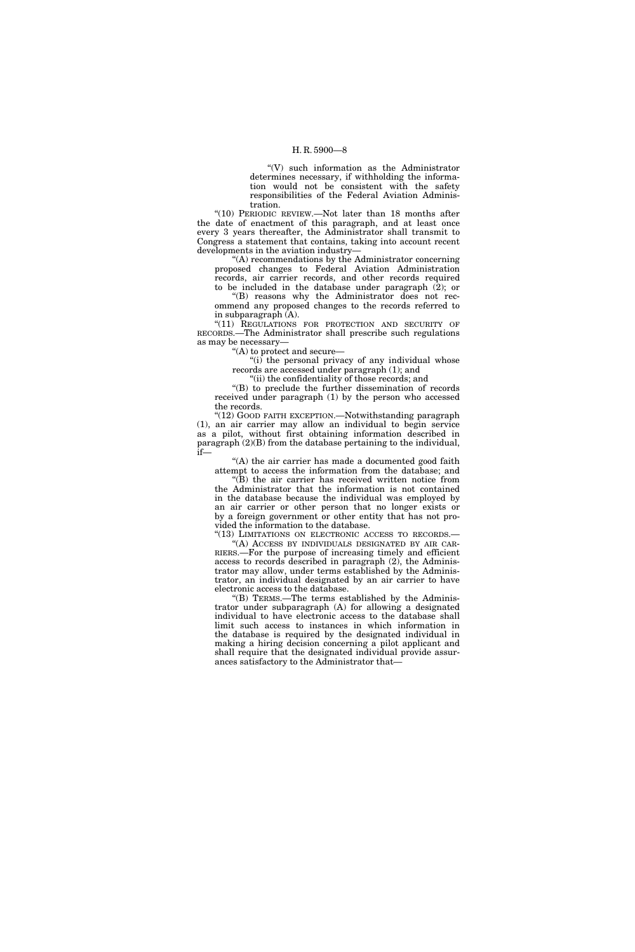''(V) such information as the Administrator determines necessary, if withholding the information would not be consistent with the safety responsibilities of the Federal Aviation Administration.

''(10) PERIODIC REVIEW.—Not later than 18 months after the date of enactment of this paragraph, and at least once every 3 years thereafter, the Administrator shall transmit to Congress a statement that contains, taking into account recent developments in the aviation industry—

''(A) recommendations by the Administrator concerning proposed changes to Federal Aviation Administration records, air carrier records, and other records required

to be included in the database under paragraph (2); or ''(B) reasons why the Administrator does not recommend any proposed changes to the records referred to in subparagraph (A).

''(11) REGULATIONS FOR PROTECTION AND SECURITY OF RECORDS.—The Administrator shall prescribe such regulations as may be necessary—

''(A) to protect and secure—

"(i) the personal privacy of any individual whose records are accessed under paragraph (1); and

"(ii) the confidentiality of those records; and

''(B) to preclude the further dissemination of records received under paragraph (1) by the person who accessed the records.

''(12) GOOD FAITH EXCEPTION.—Notwithstanding paragraph (1), an air carrier may allow an individual to begin service as a pilot, without first obtaining information described in paragraph (2)(B) from the database pertaining to the individual, if—

" $(A)$  the air carrier has made a documented good faith attempt to access the information from the database; and

''(B) the air carrier has received written notice from the Administrator that the information is not contained in the database because the individual was employed by an air carrier or other person that no longer exists or by a foreign government or other entity that has not provided the information to the database.

"(13) LIMITATIONS ON ELECTRONIC ACCESS TO RECORDS.-''(A) ACCESS BY INDIVIDUALS DESIGNATED BY AIR CAR-RIERS.—For the purpose of increasing timely and efficient access to records described in paragraph (2), the Administrator may allow, under terms established by the Administrator, an individual designated by an air carrier to have electronic access to the database.

''(B) TERMS.—The terms established by the Administrator under subparagraph (A) for allowing a designated individual to have electronic access to the database shall limit such access to instances in which information in the database is required by the designated individual in making a hiring decision concerning a pilot applicant and shall require that the designated individual provide assurances satisfactory to the Administrator that—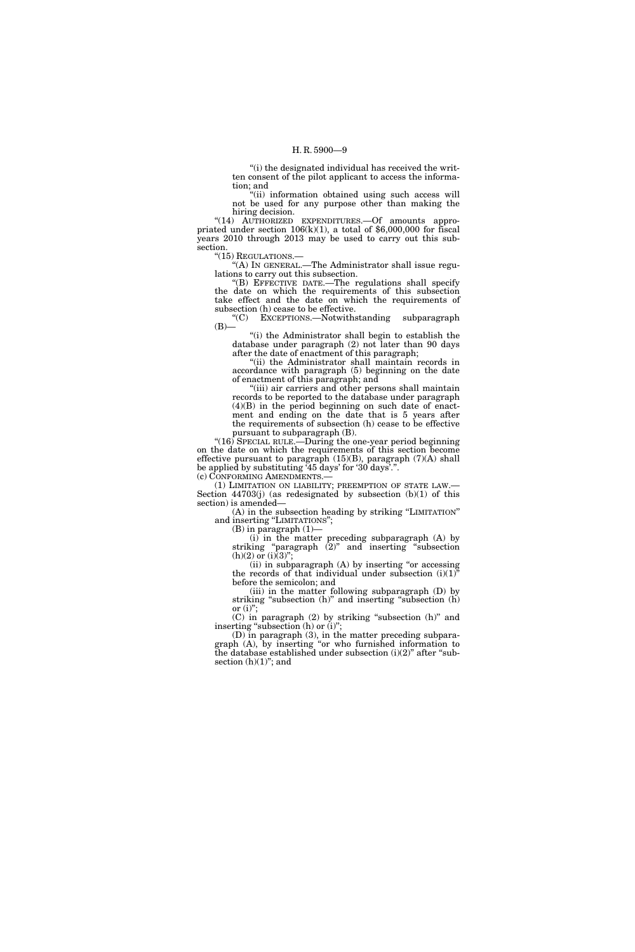''(i) the designated individual has received the written consent of the pilot applicant to access the information; and

"(ii) information obtained using such access will not be used for any purpose other than making the hiring decision.

"(14) AUTHORIZED EXPENDITURES .- Of amounts appropriated under section 106(k)(1), a total of \$6,000,000 for fiscal years 2010 through 2013 may be used to carry out this subsection.<br>"(15) REGULATIONS.—

"(A) In GENERAL.—The Administrator shall issue regulations to carry out this subsection.

''(B) EFFECTIVE DATE.—The regulations shall specify the date on which the requirements of this subsection take effect and the date on which the requirements of subsection (h) cease to be effective.

''(C) EXCEPTIONS.—Notwithstanding subparagraph  $(B)$ —

''(i) the Administrator shall begin to establish the database under paragraph (2) not later than 90 days after the date of enactment of this paragraph;

"(ii) the Administrator shall maintain records in accordance with paragraph (5) beginning on the date of enactment of this paragraph; and

''(iii) air carriers and other persons shall maintain records to be reported to the database under paragraph  $(4)(B)$  in the period beginning on such date of enactment and ending on the date that is 5 years after the requirements of subsection (h) cease to be effective pursuant to subparagraph (B).

"(16) SPECIAL RULE.—During the one-year period beginning on the date on which the requirements of this section become effective pursuant to paragraph (15)(B), paragraph (7)(A) shall be applied by substituting '45 days' for '30 days'.".<br>(c) CONFORMING AMENDMENTS.—

(1) LIMITATION ON LIABILITY; PREEMPTION OF STATE LAW.— Section 44703(j) (as redesignated by subsection (b)(1) of this section) is amended—

(A) in the subsection heading by striking ''LIMITATION'' and inserting "LIMITATIONS";

(B) in paragraph (1)—

(i) in the matter preceding subparagraph (A) by striking ''paragraph (2)'' and inserting ''subsection  $(h)(2)$  or  $(i)(3)$ ";

(ii) in subparagraph  $(A)$  by inserting "or accessing the records of that individual under subsection  $(i)(1)^{i}$ before the semicolon; and

(iii) in the matter following subparagraph (D) by striking "subsection (h)" and inserting "subsection (h) or  $(i)$ ";

 $(C)$  in paragraph  $(2)$  by striking "subsection  $(h)$ " and inserting "subsection  $(h)$  or  $(i)$ ";

(D) in paragraph (3), in the matter preceding subparagraph (A), by inserting ''or who furnished information to the database established under subsection  $(i)(2)$ " after "subsection  $(h)(1)$ "; and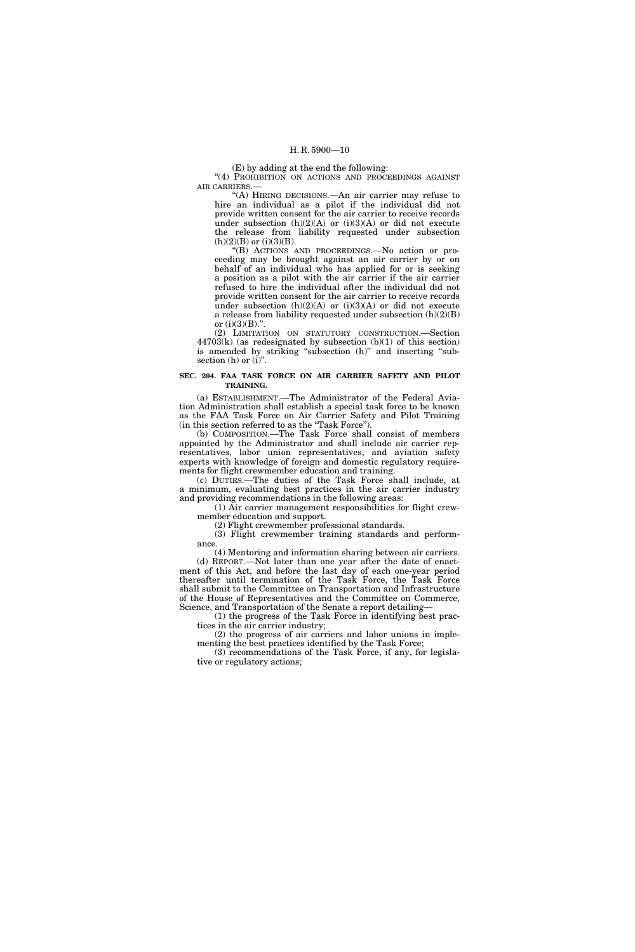(E) by adding at the end the following:

"(4) PROHIBITION ON ACTIONS AND PROCEEDINGS AGAINST AIR CARRIERS.—

 $(A)$  HIRING DECISIONS.—An air carrier may refuse to hire an individual as a pilot if the individual did not provide written consent for the air carrier to receive records under subsection  $(h)(2)(A)$  or  $(i)(3)(A)$  or did not execute the release from liability requested under subsection  $\left( h\right) (2)(B)$  or  $\left( i\right) (3)(B).$ 

''(B) ACTIONS AND PROCEEDINGS.—No action or proceeding may be brought against an air carrier by or on behalf of an individual who has applied for or is seeking a position as a pilot with the air carrier if the air carrier refused to hire the individual after the individual did not provide written consent for the air carrier to receive records under subsection  $(h)(2)(A)$  or  $(i)(3)(A)$  or did not execute a release from liability requested under subsection (h)(2)(B) or  $(i)(3)(B)$ .".

(2) LIMITATION ON STATUTORY CONSTRUCTION.—Section 44703(k) (as redesignated by subsection (b)(1) of this section) is amended by striking "subsection (h)" and inserting "subsection  $(h)$  or  $(i)$ ".

#### **SEC. 204. FAA TASK FORCE ON AIR CARRIER SAFETY AND PILOT TRAINING.**

(a) ESTABLISHMENT.—The Administrator of the Federal Aviation Administration shall establish a special task force to be known as the FAA Task Force on Air Carrier Safety and Pilot Training (in this section referred to as the ''Task Force'').

(b) COMPOSITION.—The Task Force shall consist of members appointed by the Administrator and shall include air carrier representatives, labor union representatives, and aviation safety experts with knowledge of foreign and domestic regulatory requirements for flight crewmember education and training.

(c) DUTIES.—The duties of the Task Force shall include, at a minimum, evaluating best practices in the air carrier industry and providing recommendations in the following areas:

(1) Air carrier management responsibilities for flight crewmember education and support.

(2) Flight crewmember professional standards.

(3) Flight crewmember training standards and performance.

(4) Mentoring and information sharing between air carriers. (d) REPORT.—Not later than one year after the date of enactment of this Act, and before the last day of each one-year period thereafter until termination of the Task Force, the Task Force shall submit to the Committee on Transportation and Infrastructure of the House of Representatives and the Committee on Commerce, Science, and Transportation of the Senate a report detailing—

(1) the progress of the Task Force in identifying best practices in the air carrier industry;

(2) the progress of air carriers and labor unions in implementing the best practices identified by the Task Force;

(3) recommendations of the Task Force, if any, for legislative or regulatory actions;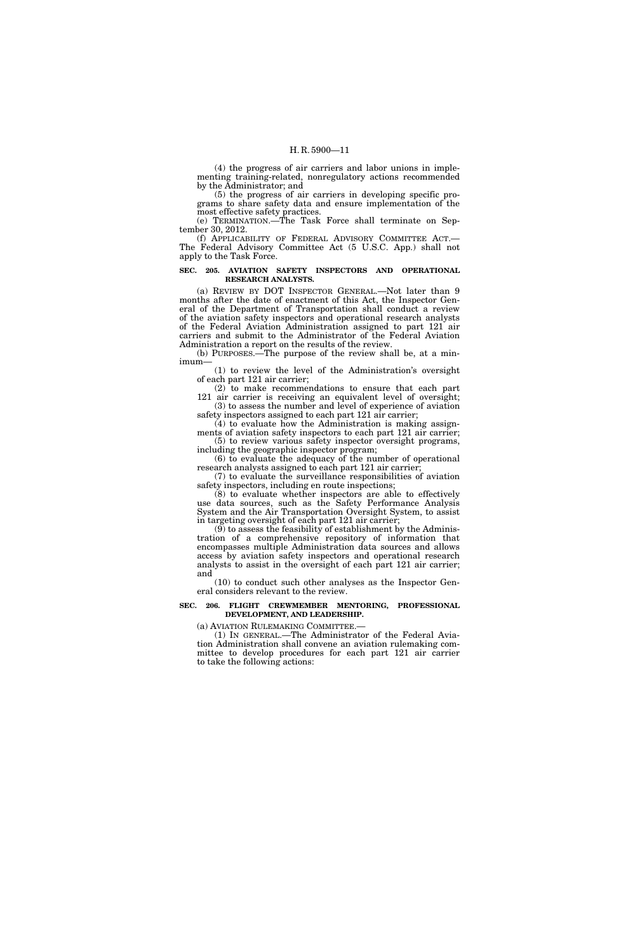(4) the progress of air carriers and labor unions in implementing training-related, nonregulatory actions recommended by the Administrator; and

(5) the progress of air carriers in developing specific programs to share safety data and ensure implementation of the most effective safety practices.

(e) TERMINATION.—The Task Force shall terminate on September 30, 2012.

(f) APPLICABILITY OF FEDERAL ADVISORY COMMITTEE ACT.— The Federal Advisory Committee Act (5 U.S.C. App.) shall not apply to the Task Force.

#### **SEC. 205. AVIATION SAFETY INSPECTORS AND OPERATIONAL RESEARCH ANALYSTS.**

(a) REVIEW BY DOT INSPECTOR GENERAL.—Not later than 9 months after the date of enactment of this Act, the Inspector General of the Department of Transportation shall conduct a review of the aviation safety inspectors and operational research analysts of the Federal Aviation Administration assigned to part 121 air carriers and submit to the Administrator of the Federal Aviation Administration a report on the results of the review.

(b) PURPOSES.—The purpose of the review shall be, at a minimum—

(1) to review the level of the Administration's oversight of each part 121 air carrier;

(2) to make recommendations to ensure that each part 121 air carrier is receiving an equivalent level of oversight; (3) to assess the number and level of experience of aviation safety inspectors assigned to each part 121 air carrier;

 $(4)$  to evaluate how the Administration is making assign-

ments of aviation safety inspectors to each part 121 air carrier; (5) to review various safety inspector oversight programs, including the geographic inspector program;

(6) to evaluate the adequacy of the number of operational research analysts assigned to each part 121 air carrier;

(7) to evaluate the surveillance responsibilities of aviation safety inspectors, including en route inspections;

(8) to evaluate whether inspectors are able to effectively use data sources, such as the Safety Performance Analysis System and the Air Transportation Oversight System, to assist in targeting oversight of each part 121 air carrier;

(9) to assess the feasibility of establishment by the Administration of a comprehensive repository of information that encompasses multiple Administration data sources and allows access by aviation safety inspectors and operational research analysts to assist in the oversight of each part 121 air carrier; and

(10) to conduct such other analyses as the Inspector General considers relevant to the review.

#### **SEC. 206. FLIGHT CREWMEMBER MENTORING, PROFESSIONAL DEVELOPMENT, AND LEADERSHIP.**

(a) AVIATION RULEMAKING COMMITTEE.—

(1) IN GENERAL.—The Administrator of the Federal Aviation Administration shall convene an aviation rulemaking committee to develop procedures for each part 121 air carrier to take the following actions: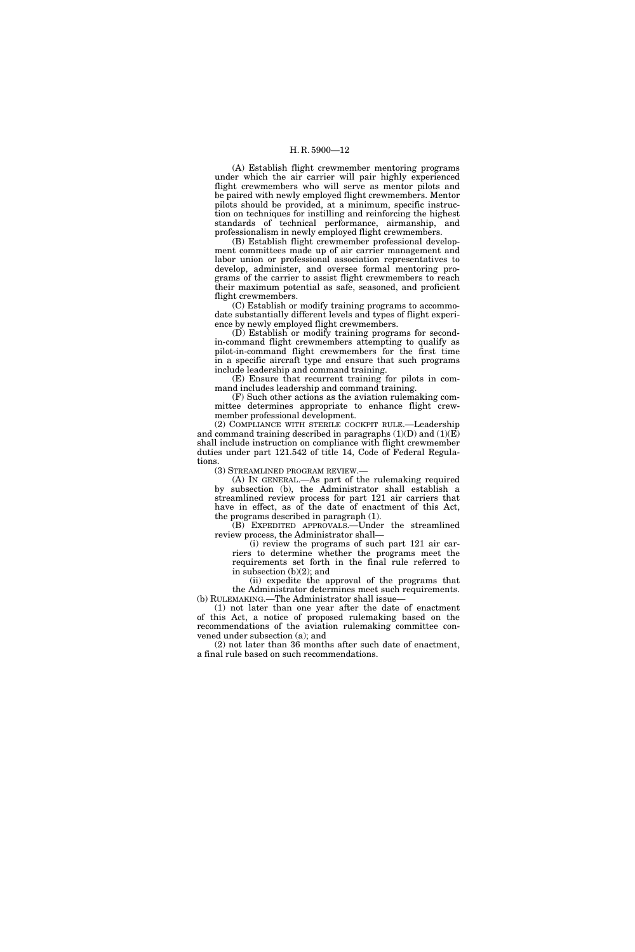(A) Establish flight crewmember mentoring programs under which the air carrier will pair highly experienced flight crewmembers who will serve as mentor pilots and be paired with newly employed flight crewmembers. Mentor pilots should be provided, at a minimum, specific instruction on techniques for instilling and reinforcing the highest standards of technical performance, airmanship, and professionalism in newly employed flight crewmembers.

(B) Establish flight crewmember professional development committees made up of air carrier management and labor union or professional association representatives to develop, administer, and oversee formal mentoring programs of the carrier to assist flight crewmembers to reach their maximum potential as safe, seasoned, and proficient flight crewmembers.

(C) Establish or modify training programs to accommodate substantially different levels and types of flight experience by newly employed flight crewmembers.

(D) Establish or modify training programs for secondin-command flight crewmembers attempting to qualify as pilot-in-command flight crewmembers for the first time in a specific aircraft type and ensure that such programs include leadership and command training.

(E) Ensure that recurrent training for pilots in command includes leadership and command training.

(F) Such other actions as the aviation rulemaking committee determines appropriate to enhance flight crewmember professional development.

(2) COMPLIANCE WITH STERILE COCKPIT RULE.—Leadership and command training described in paragraphs  $(1)(D)$  and  $(1)(E)$ shall include instruction on compliance with flight crewmember duties under part 121.542 of title 14, Code of Federal Regulations.

(3) STREAMLINED PROGRAM REVIEW.—

(A) IN GENERAL.—As part of the rulemaking required by subsection (b), the Administrator shall establish a streamlined review process for part 121 air carriers that have in effect, as of the date of enactment of this Act, the programs described in paragraph (1).

(B) EXPEDITED APPROVALS.—Under the streamlined review process, the Administrator shall—

(i) review the programs of such part 121 air carriers to determine whether the programs meet the requirements set forth in the final rule referred to in subsection (b)(2); and

(ii) expedite the approval of the programs that the Administrator determines meet such requirements. (b) RULEMAKING.—The Administrator shall issue—

(1) not later than one year after the date of enactment of this Act, a notice of proposed rulemaking based on the recommendations of the aviation rulemaking committee convened under subsection (a); and

(2) not later than 36 months after such date of enactment, a final rule based on such recommendations.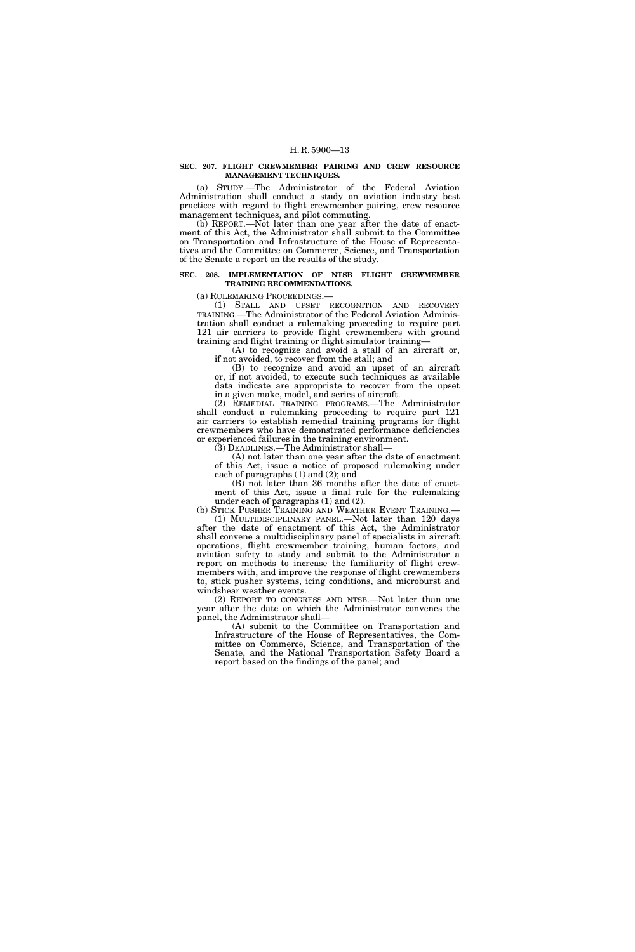#### **SEC. 207. FLIGHT CREWMEMBER PAIRING AND CREW RESOURCE MANAGEMENT TECHNIQUES.**

(a) STUDY.—The Administrator of the Federal Aviation Administration shall conduct a study on aviation industry best practices with regard to flight crewmember pairing, crew resource management techniques, and pilot commuting.

(b) REPORT.—Not later than one year after the date of enactment of this Act, the Administrator shall submit to the Committee on Transportation and Infrastructure of the House of Representatives and the Committee on Commerce, Science, and Transportation of the Senate a report on the results of the study.

#### **SEC. 208. IMPLEMENTATION OF NTSB FLIGHT CREWMEMBER TRAINING RECOMMENDATIONS.**

(a) RULEMAKING PROCEEDINGS.—

(1) STALL AND UPSET RECOGNITION AND RECOVERY TRAINING.—The Administrator of the Federal Aviation Administration shall conduct a rulemaking proceeding to require part 121 air carriers to provide flight crewmembers with ground training and flight training or flight simulator training—

(A) to recognize and avoid a stall of an aircraft or, if not avoided, to recover from the stall; and

(B) to recognize and avoid an upset of an aircraft or, if not avoided, to execute such techniques as available data indicate are appropriate to recover from the upset in a given make, model, and series of aircraft.

(2) REMEDIAL TRAINING PROGRAMS.—The Administrator shall conduct a rulemaking proceeding to require part 121 air carriers to establish remedial training programs for flight crewmembers who have demonstrated performance deficiencies or experienced failures in the training environment.

(3) DEADLINES.—The Administrator shall—

(A) not later than one year after the date of enactment of this Act, issue a notice of proposed rulemaking under each of paragraphs (1) and (2); and

(B) not later than 36 months after the date of enactment of this Act, issue a final rule for the rulemaking under each of paragraphs (1) and (2).

(b) STICK PUSHER TRAINING AND WEATHER EVENT TRAINING.— (1) MULTIDISCIPLINARY PANEL.—Not later than 120 days after the date of enactment of this Act, the Administrator shall convene a multidisciplinary panel of specialists in aircraft operations, flight crewmember training, human factors, and aviation safety to study and submit to the Administrator a report on methods to increase the familiarity of flight crewmembers with, and improve the response of flight crewmembers to, stick pusher systems, icing conditions, and microburst and

windshear weather events. (2) REPORT TO CONGRESS AND NTSB.—Not later than one year after the date on which the Administrator convenes the panel, the Administrator shall—

(A) submit to the Committee on Transportation and Infrastructure of the House of Representatives, the Committee on Commerce, Science, and Transportation of the Senate, and the National Transportation Safety Board a report based on the findings of the panel; and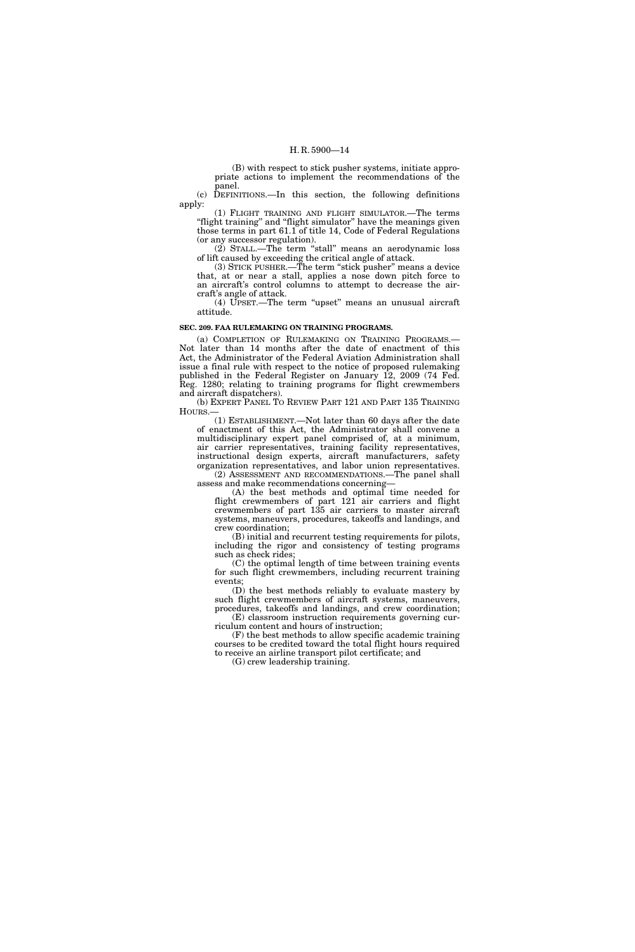(B) with respect to stick pusher systems, initiate appropriate actions to implement the recommendations of the panel.

(c) DEFINITIONS.—In this section, the following definitions apply:

(1) FLIGHT TRAINING AND FLIGHT SIMULATOR.—The terms "flight training" and "flight simulator" have the meanings given those terms in part 61.1 of title 14, Code of Federal Regulations (or any successor regulation).

(2) STALL.—The term ''stall'' means an aerodynamic loss of lift caused by exceeding the critical angle of attack.

(3) STICK PUSHER.—The term ''stick pusher'' means a device that, at or near a stall, applies a nose down pitch force to an aircraft's control columns to attempt to decrease the aircraft's angle of attack.

(4) UPSET.—The term ''upset'' means an unusual aircraft attitude.

#### **SEC. 209. FAA RULEMAKING ON TRAINING PROGRAMS.**

(a) COMPLETION OF RULEMAKING ON TRAINING PROGRAMS.— Not later than 14 months after the date of enactment of this Act, the Administrator of the Federal Aviation Administration shall issue a final rule with respect to the notice of proposed rulemaking published in the Federal Register on January 12, 2009 (74 Fed. Reg. 1280; relating to training programs for flight crewmembers and aircraft dispatchers).

(b) EXPERT PANEL TO REVIEW PART 121 AND PART 135 TRAINING HOURS.—

(1) ESTABLISHMENT.—Not later than 60 days after the date of enactment of this Act, the Administrator shall convene a multidisciplinary expert panel comprised of, at a minimum, air carrier representatives, training facility representatives, instructional design experts, aircraft manufacturers, safety organization representatives, and labor union representatives. (2) ASSESSMENT AND RECOMMENDATIONS.—The panel shall assess and make recommendations concerning—

(A) the best methods and optimal time needed for flight crewmembers of part 121 air carriers and flight crewmembers of part 135 air carriers to master aircraft systems, maneuvers, procedures, takeoffs and landings, and crew coordination;

(B) initial and recurrent testing requirements for pilots, including the rigor and consistency of testing programs such as check rides;

(C) the optimal length of time between training events for such flight crewmembers, including recurrent training events;

(D) the best methods reliably to evaluate mastery by such flight crewmembers of aircraft systems, maneuvers, procedures, takeoffs and landings, and crew coordination; (E) classroom instruction requirements governing cur-

riculum content and hours of instruction; (F) the best methods to allow specific academic training courses to be credited toward the total flight hours required

to receive an airline transport pilot certificate; and

(G) crew leadership training.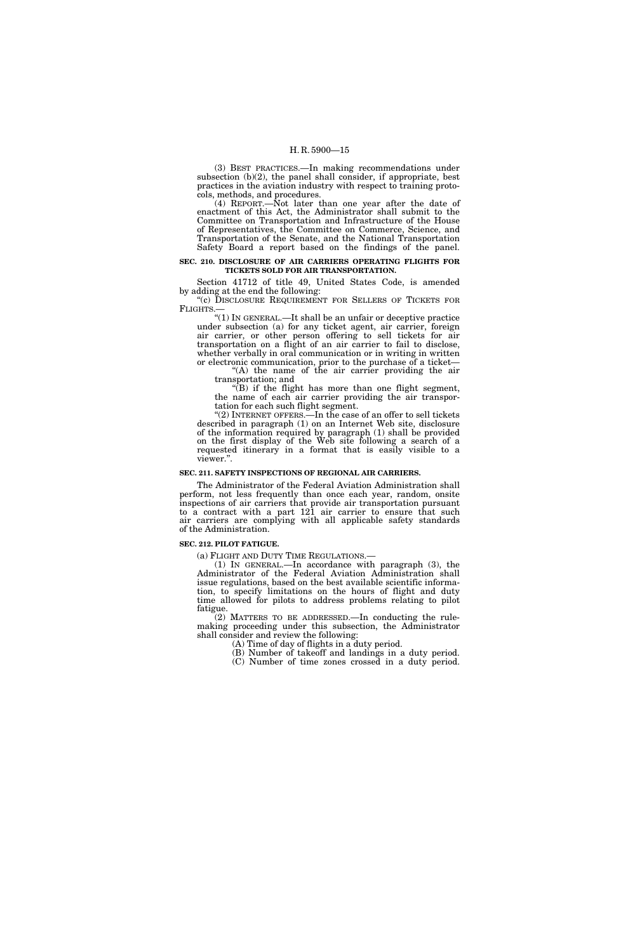(3) BEST PRACTICES.—In making recommendations under subsection (b)(2), the panel shall consider, if appropriate, best practices in the aviation industry with respect to training protocols, methods, and procedures.

 $(4)$  REPORT.—Not later than one year after the date of enactment of this Act, the Administrator shall submit to the Committee on Transportation and Infrastructure of the House of Representatives, the Committee on Commerce, Science, and Transportation of the Senate, and the National Transportation Safety Board a report based on the findings of the panel.

#### **SEC. 210. DISCLOSURE OF AIR CARRIERS OPERATING FLIGHTS FOR TICKETS SOLD FOR AIR TRANSPORTATION.**

Section 41712 of title 49, United States Code, is amended by adding at the end the following:

"(c) DISCLOSURE REQUIREMENT FOR SELLERS OF TICKETS FOR FLIGHTS.—

''(1) IN GENERAL.—It shall be an unfair or deceptive practice under subsection (a) for any ticket agent, air carrier, foreign air carrier, or other person offering to sell tickets for air transportation on a flight of an air carrier to fail to disclose, whether verbally in oral communication or in writing in written or electronic communication, prior to the purchase of a ticket— "(A) the name of the air carrier providing the air

transportation; and  $\sqrt{\text{B}}$ ) if the flight has more than one flight segment,

the name of each air carrier providing the air transportation for each such flight segment.

"(2) INTERNET OFFERS.—In the case of an offer to sell tickets described in paragraph (1) on an Internet Web site, disclosure of the information required by paragraph (1) shall be provided on the first display of the Web site following a search of a requested itinerary in a format that is easily visible to a viewer.''.

#### **SEC. 211. SAFETY INSPECTIONS OF REGIONAL AIR CARRIERS.**

The Administrator of the Federal Aviation Administration shall perform, not less frequently than once each year, random, onsite inspections of air carriers that provide air transportation pursuant to a contract with a part 121 air carrier to ensure that such air carriers are complying with all applicable safety standards of the Administration.

#### **SEC. 212. PILOT FATIGUE.**

(a) FLIGHT AND DUTY TIME REGULATIONS.—

(1) IN GENERAL.—In accordance with paragraph (3), the Administrator of the Federal Aviation Administration shall issue regulations, based on the best available scientific information, to specify limitations on the hours of flight and duty time allowed for pilots to address problems relating to pilot fatigue.

(2) MATTERS TO BE ADDRESSED.—In conducting the rulemaking proceeding under this subsection, the Administrator shall consider and review the following:

(A) Time of day of flights in a duty period.

- (B) Number of takeoff and landings in a duty period.
- (C) Number of time zones crossed in a duty period.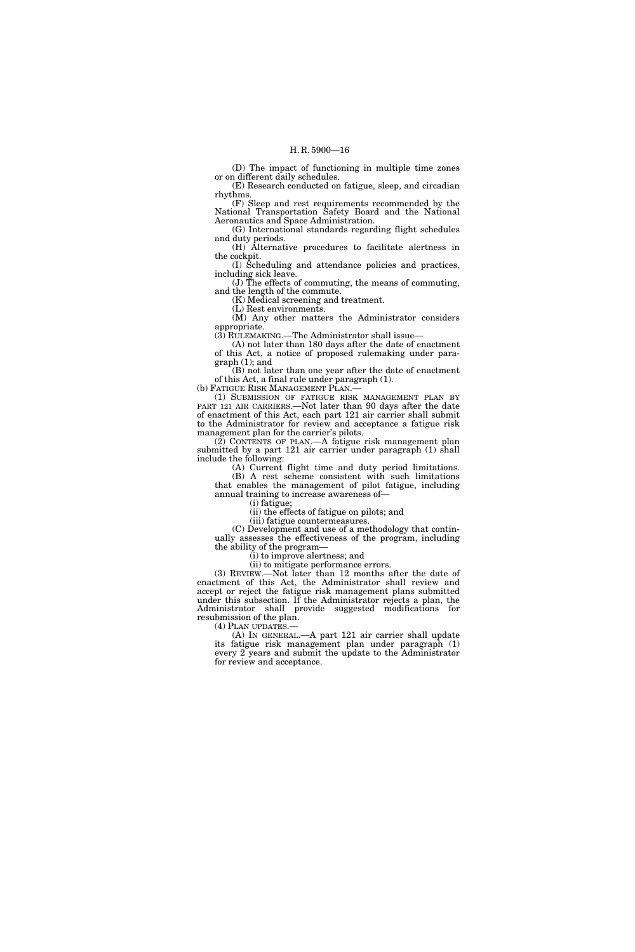(D) The impact of functioning in multiple time zones or on different daily schedules.

(E) Research conducted on fatigue, sleep, and circadian rhythms.

(F) Sleep and rest requirements recommended by the National Transportation Safety Board and the National Aeronautics and Space Administration.

(G) International standards regarding flight schedules and duty periods.

(H) Alternative procedures to facilitate alertness in the cockpit.

(I) Scheduling and attendance policies and practices, including sick leave.

(J) The effects of commuting, the means of commuting, and the length of the commute.

(K) Medical screening and treatment.

(L) Rest environments.

(M) Any other matters the Administrator considers appropriate.

 $(3)$  RULEMAKING.—The Administrator shall issue— (A) not later than 180 days after the date of enactment

of this Act, a notice of proposed rulemaking under paragraph (1); and

(B) not later than one year after the date of enactment of this Act, a final rule under paragraph (1). (b) FATIGUE RISK MANAGEMENT PLAN.—

(1) SUBMISSION OF FATIGUE RISK MANAGEMENT PLAN BY PART 121 AIR CARRIERS.—Not later than 90 days after the date of enactment of this Act, each part 121 air carrier shall submit to the Administrator for review and acceptance a fatigue risk management plan for the carrier's pilots.

(2) CONTENTS OF PLAN.—A fatigue risk management plan submitted by a part 121 air carrier under paragraph (1) shall include the following:

(A) Current flight time and duty period limitations. (B) A rest scheme consistent with such limitations

that enables the management of pilot fatigue, including annual training to increase awareness of—

(i) fatigue;

(ii) the effects of fatigue on pilots; and (iii) fatigue countermeasures.

(C) Development and use of a methodology that continually assesses the effectiveness of the program, including the ability of the program—

(i) to improve alertness; and

(ii) to mitigate performance errors.

(3) REVIEW.—Not later than 12 months after the date of enactment of this Act, the Administrator shall review and accept or reject the fatigue risk management plans submitted under this subsection. If the Administrator rejects a plan, the Administrator shall provide suggested modifications for resubmission of the plan.

(4) PLAN UPDATES.—

(A) IN GENERAL.—A part 121 air carrier shall update its fatigue risk management plan under paragraph (1) every 2 years and submit the update to the Administrator for review and acceptance.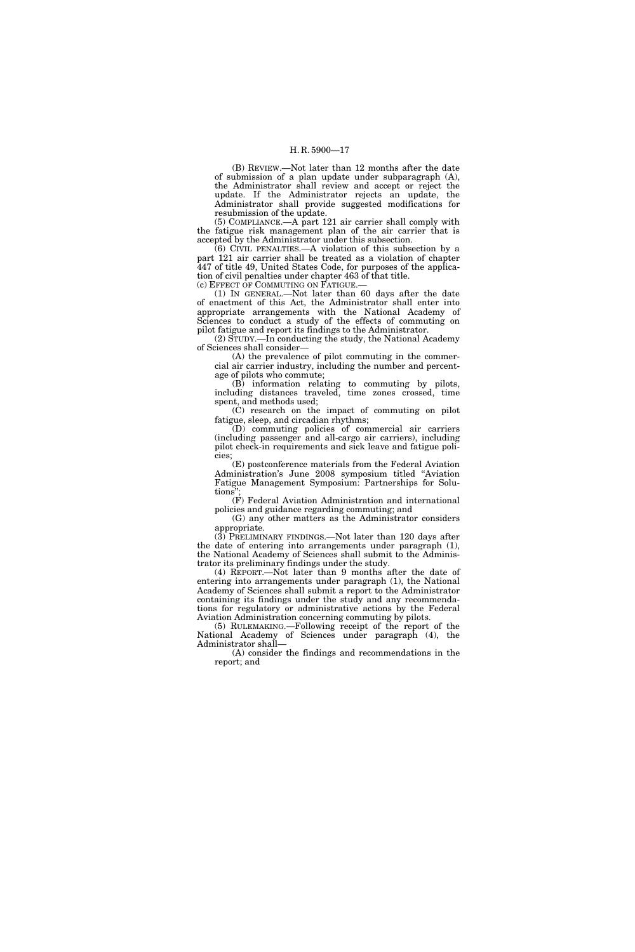(B) REVIEW.—Not later than 12 months after the date of submission of a plan update under subparagraph (A), the Administrator shall review and accept or reject the update. If the Administrator rejects an update, the Administrator shall provide suggested modifications for resubmission of the update.

(5) COMPLIANCE.—A part 121 air carrier shall comply with the fatigue risk management plan of the air carrier that is accepted by the Administrator under this subsection.

(6) CIVIL PENALTIES.—A violation of this subsection by a part 121 air carrier shall be treated as a violation of chapter 447 of title 49, United States Code, for purposes of the application of civil penalties under chapter 463 of that title. (c) EFFECT OF COMMUTING ON FATIGUE.—

(1) IN GENERAL.—Not later than 60 days after the date of enactment of this Act, the Administrator shall enter into appropriate arrangements with the National Academy of Sciences to conduct a study of the effects of commuting on pilot fatigue and report its findings to the Administrator.

(2) STUDY.—In conducting the study, the National Academy of Sciences shall consider—

(A) the prevalence of pilot commuting in the commercial air carrier industry, including the number and percentage of pilots who commute;

(B) information relating to commuting by pilots, including distances traveled, time zones crossed, time spent, and methods used;

(C) research on the impact of commuting on pilot fatigue, sleep, and circadian rhythms;

(D) commuting policies of commercial air carriers (including passenger and all-cargo air carriers), including pilot check-in requirements and sick leave and fatigue policies;

(E) postconference materials from the Federal Aviation Administration's June 2008 symposium titled ''Aviation Fatigue Management Symposium: Partnerships for Solutions"

(F) Federal Aviation Administration and international policies and guidance regarding commuting; and

(G) any other matters as the Administrator considers appropriate.

(3) PRELIMINARY FINDINGS.—Not later than 120 days after the date of entering into arrangements under paragraph (1), the National Academy of Sciences shall submit to the Administrator its preliminary findings under the study.

(4) REPORT.—Not later than 9 months after the date of entering into arrangements under paragraph (1), the National Academy of Sciences shall submit a report to the Administrator containing its findings under the study and any recommendations for regulatory or administrative actions by the Federal Aviation Administration concerning commuting by pilots.

(5) RULEMAKING.—Following receipt of the report of the National Academy of Sciences under paragraph (4), the Administrator shall—

(A) consider the findings and recommendations in the report; and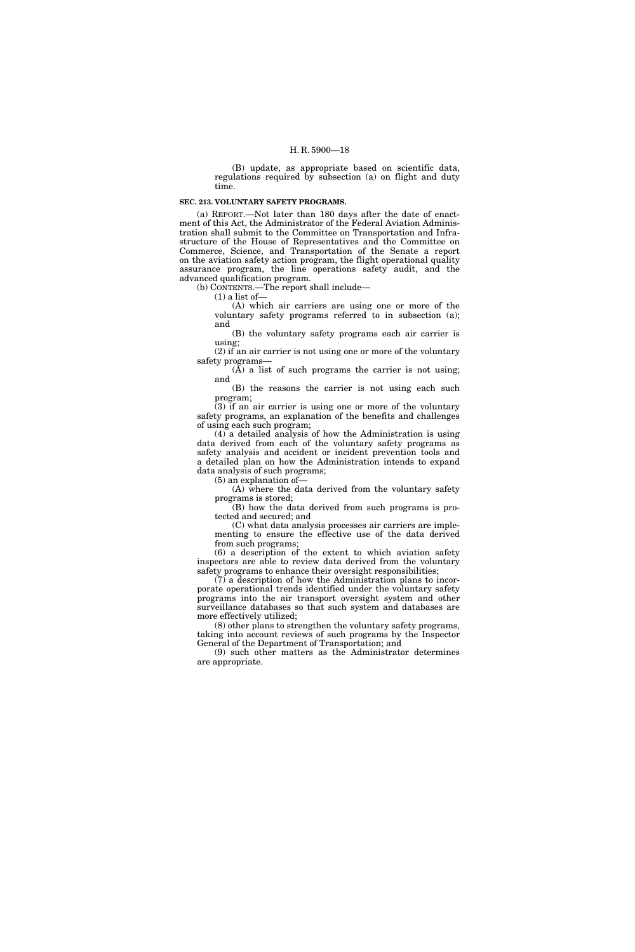(B) update, as appropriate based on scientific data, regulations required by subsection (a) on flight and duty time.

#### **SEC. 213. VOLUNTARY SAFETY PROGRAMS.**

(a) REPORT.—Not later than 180 days after the date of enactment of this Act, the Administrator of the Federal Aviation Administration shall submit to the Committee on Transportation and Infrastructure of the House of Representatives and the Committee on Commerce, Science, and Transportation of the Senate a report on the aviation safety action program, the flight operational quality assurance program, the line operations safety audit, and the advanced qualification program.

(b) CONTENTS.—The report shall include—

 $(1)$  a list of —

(A) which air carriers are using one or more of the voluntary safety programs referred to in subsection (a); and

(B) the voluntary safety programs each air carrier is using;

(2) if an air carrier is not using one or more of the voluntary safety programs—  $(A)$  a list of such programs the carrier is not using;

and

(B) the reasons the carrier is not using each such program;

(3) if an air carrier is using one or more of the voluntary safety programs, an explanation of the benefits and challenges of using each such program;

(4) a detailed analysis of how the Administration is using data derived from each of the voluntary safety programs as safety analysis and accident or incident prevention tools and a detailed plan on how the Administration intends to expand data analysis of such programs;

(5) an explanation of—

(A) where the data derived from the voluntary safety programs is stored;

(B) how the data derived from such programs is protected and secured; and

(C) what data analysis processes air carriers are implementing to ensure the effective use of the data derived from such programs;

(6) a description of the extent to which aviation safety inspectors are able to review data derived from the voluntary safety programs to enhance their oversight responsibilities;

 $(7)$  a description of how the Administration plans to incorporate operational trends identified under the voluntary safety programs into the air transport oversight system and other surveillance databases so that such system and databases are more effectively utilized;

(8) other plans to strengthen the voluntary safety programs, taking into account reviews of such programs by the Inspector General of the Department of Transportation; and

(9) such other matters as the Administrator determines are appropriate.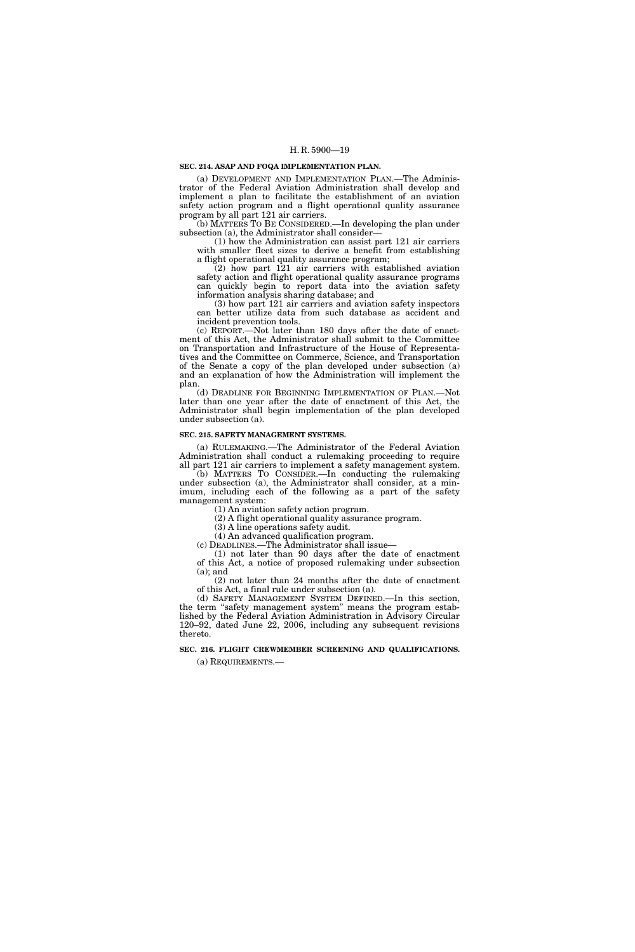#### **SEC. 214. ASAP AND FOQA IMPLEMENTATION PLAN.**

(a) DEVELOPMENT AND IMPLEMENTATION PLAN.—The Administrator of the Federal Aviation Administration shall develop and implement a plan to facilitate the establishment of an aviation safety action program and a flight operational quality assurance program by all part 121 air carriers.

(b) MATTERS TO BE CONSIDERED.—In developing the plan under subsection (a), the Administrator shall consider-

(1) how the Administration can assist part 121 air carriers with smaller fleet sizes to derive a benefit from establishing a flight operational quality assurance program;

(2) how part 121 air carriers with established aviation safety action and flight operational quality assurance programs can quickly begin to report data into the aviation safety information analysis sharing database; and

(3) how part 121 air carriers and aviation safety inspectors can better utilize data from such database as accident and incident prevention tools.

(c) REPORT.—Not later than 180 days after the date of enactment of this Act, the Administrator shall submit to the Committee on Transportation and Infrastructure of the House of Representatives and the Committee on Commerce, Science, and Transportation of the Senate a copy of the plan developed under subsection (a) and an explanation of how the Administration will implement the plan.

(d) DEADLINE FOR BEGINNING IMPLEMENTATION OF PLAN.—Not later than one year after the date of enactment of this Act, the Administrator shall begin implementation of the plan developed under subsection (a).

#### **SEC. 215. SAFETY MANAGEMENT SYSTEMS.**

(a) RULEMAKING.—The Administrator of the Federal Aviation Administration shall conduct a rulemaking proceeding to require all part 121 air carriers to implement a safety management system.

(b) MATTERS TO CONSIDER.—In conducting the rulemaking under subsection (a), the Administrator shall consider, at a minimum, including each of the following as a part of the safety management system:

(1) An aviation safety action program.

(2) A flight operational quality assurance program.

(3) A line operations safety audit.

(4) An advanced qualification program.

(c) DEADLINES.—The Administrator shall issue—

(1) not later than 90 days after the date of enactment of this Act, a notice of proposed rulemaking under subsection  $(a)$ ; and

(2) not later than 24 months after the date of enactment of this Act, a final rule under subsection (a).

(d) SAFETY MANAGEMENT SYSTEM DEFINED.—In this section, the term "safety management system" means the program established by the Federal Aviation Administration in Advisory Circular 120–92, dated June 22, 2006, including any subsequent revisions thereto.

#### **SEC. 216. FLIGHT CREWMEMBER SCREENING AND QUALIFICATIONS.**  (a) REQUIREMENTS.—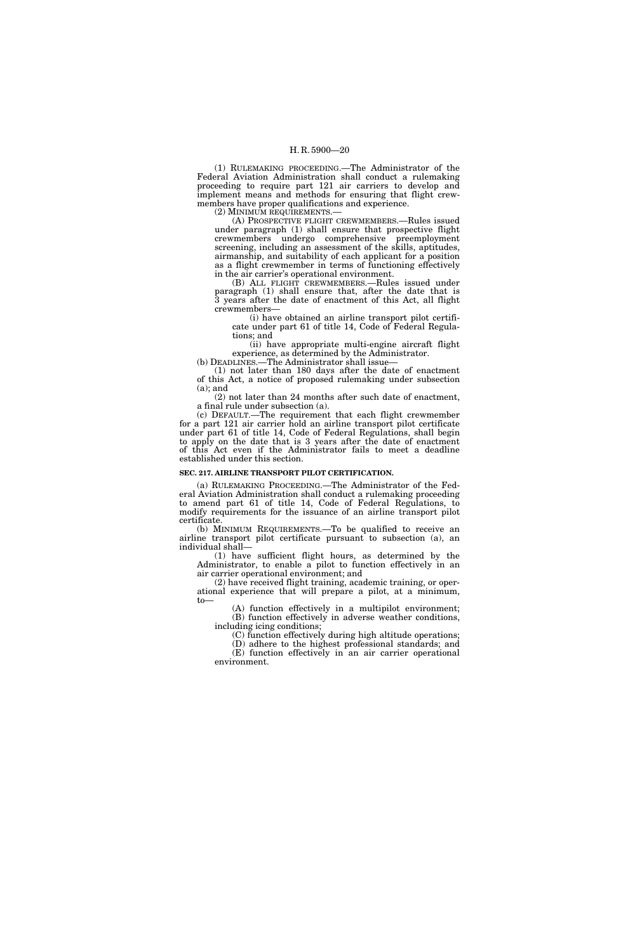(1) RULEMAKING PROCEEDING.—The Administrator of the Federal Aviation Administration shall conduct a rulemaking proceeding to require part 121 air carriers to develop and implement means and methods for ensuring that flight crewmembers have proper qualifications and experience.

(2) MINIMUM REQUIREMENTS.—

(A) PROSPECTIVE FLIGHT CREWMEMBERS.—Rules issued under paragraph (1) shall ensure that prospective flight crewmembers undergo comprehensive preemployment screening, including an assessment of the skills, aptitudes, airmanship, and suitability of each applicant for a position as a flight crewmember in terms of functioning effectively in the air carrier's operational environment.

(B) ALL FLIGHT CREWMEMBERS.—Rules issued under paragraph (1) shall ensure that, after the date that is 3 years after the date of enactment of this Act, all flight crewmembers—

(i) have obtained an airline transport pilot certificate under part 61 of title 14, Code of Federal Regulations; and

(ii) have appropriate multi-engine aircraft flight experience, as determined by the Administrator.

(b) DEADLINES.—The Administrator shall issue— (1) not later than 180 days after the date of enactment

of this Act, a notice of proposed rulemaking under subsection (a); and

(2) not later than 24 months after such date of enactment, a final rule under subsection (a).

(c) DEFAULT.—The requirement that each flight crewmember for a part 121 air carrier hold an airline transport pilot certificate under part 61 of title 14, Code of Federal Regulations, shall begin to apply on the date that is 3 years after the date of enactment of this Act even if the Administrator fails to meet a deadline established under this section.

#### **SEC. 217. AIRLINE TRANSPORT PILOT CERTIFICATION.**

(a) RULEMAKING PROCEEDING.—The Administrator of the Federal Aviation Administration shall conduct a rulemaking proceeding to amend part 61 of title 14, Code of Federal Regulations, to modify requirements for the issuance of an airline transport pilot certificate.

(b) MINIMUM REQUIREMENTS.—To be qualified to receive an airline transport pilot certificate pursuant to subsection (a), an individual shall—

(1) have sufficient flight hours, as determined by the Administrator, to enable a pilot to function effectively in an air carrier operational environment; and

(2) have received flight training, academic training, or operational experience that will prepare a pilot, at a minimum, to—

(A) function effectively in a multipilot environment; (B) function effectively in adverse weather conditions, including icing conditions;

(C) function effectively during high altitude operations;

(D) adhere to the highest professional standards; and

(E) function effectively in an air carrier operational environment.